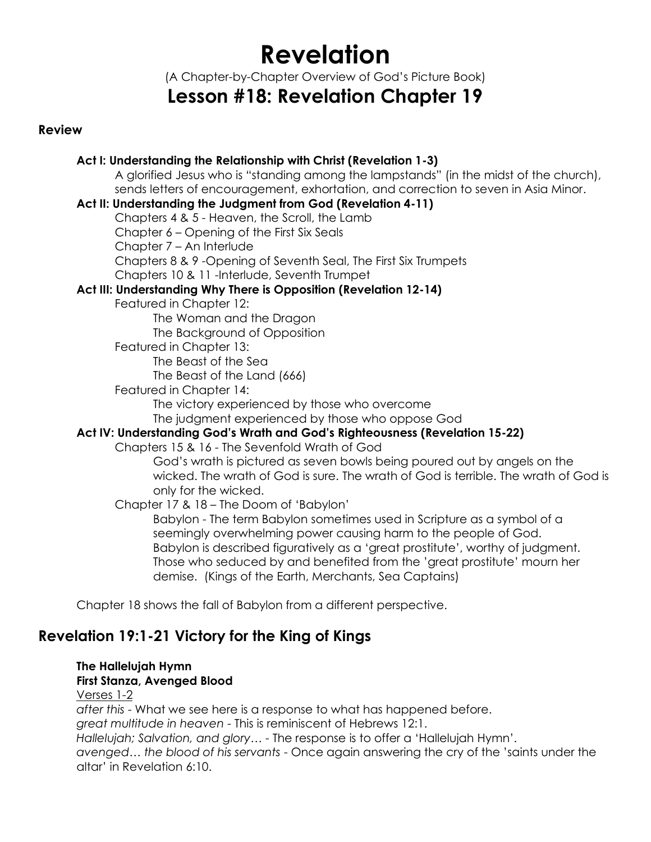# **Revelation**

(A Chapter-by-Chapter Overview of God's Picture Book)

## **Lesson #18: Revelation Chapter 19**

#### **Review**

#### **Act I: Understanding the Relationship with Christ (Revelation 1-3)**

A glorified Jesus who is "standing among the lampstands" (in the midst of the church), sends letters of encouragement, exhortation, and correction to seven in Asia Minor.

#### **Act II: Understanding the Judgment from God (Revelation 4-11)**

Chapters 4 & 5 - Heaven, the Scroll, the Lamb

Chapter 6 – Opening of the First Six Seals

Chapter 7 – An Interlude

Chapters 8 & 9 -Opening of Seventh Seal, The First Six Trumpets

Chapters 10 & 11 -Interlude, Seventh Trumpet

#### **Act III: Understanding Why There is Opposition (Revelation 12-14)**

Featured in Chapter 12:

The Woman and the Dragon The Background of Opposition

Featured in Chapter 13:

The Beast of the Sea

The Beast of the Land (666)

Featured in Chapter 14:

The victory experienced by those who overcome

The judgment experienced by those who oppose God

#### **Act IV: Understanding God's Wrath and God's Righteousness (Revelation 15-22)**

Chapters 15 & 16 - The Sevenfold Wrath of God

God's wrath is pictured as seven bowls being poured out by angels on the wicked. The wrath of God is sure. The wrath of God is terrible. The wrath of God is only for the wicked.

Chapter 17 & 18 – The Doom of 'Babylon'

Babylon - The term Babylon sometimes used in Scripture as a symbol of a seemingly overwhelming power causing harm to the people of God. Babylon is described figuratively as a 'great prostitute', worthy of judgment. Those who seduced by and benefited from the 'great prostitute' mourn her demise. (Kings of the Earth, Merchants, Sea Captains)

Chapter 18 shows the fall of Babylon from a different perspective.

### **Revelation 19:1-21 Victory for the King of Kings**

**The Hallelujah Hymn First Stanza, Avenged Blood** Verses 1-2 *after this* - What we see here is a response to what has happened before. *great multitude in heaven* - This is reminiscent of Hebrews 12:1. *Hallelujah; Salvation, and glory…* - The response is to offer a 'Hallelujah Hymn'. *avenged… the blood of his servants* - Once again answering the cry of the 'saints under the altar' in Revelation 6:10.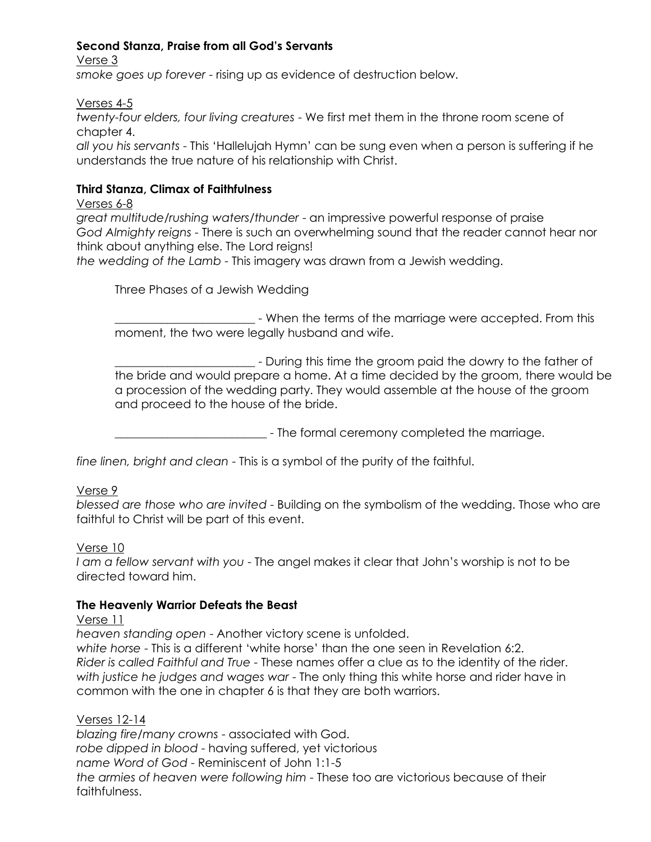#### **Second Stanza, Praise from all God's Servants**

Verse 3 *smoke goes up forever* - rising up as evidence of destruction below.

Verses 4-5

*twenty-four elders, four living creatures* - We first met them in the throne room scene of chapter 4.

*all you his servants* - This 'Hallelujah Hymn' can be sung even when a person is suffering if he understands the true nature of his relationship with Christ.

#### **Third Stanza, Climax of Faithfulness**

Verses 6-8

*great multitude/rushing waters/thunder* - an impressive powerful response of praise *God Almighty reigns* - There is such an overwhelming sound that the reader cannot hear nor think about anything else. The Lord reigns!

*the wedding of the Lamb* - This imagery was drawn from a Jewish wedding.

Three Phases of a Jewish Wedding

\_\_\_\_\_\_\_\_\_\_\_\_\_\_\_\_\_\_\_\_\_\_\_\_ - When the terms of the marriage were accepted. From this moment, the two were legally husband and wife.

\_\_\_\_\_\_\_\_\_\_\_\_\_\_\_\_\_\_\_\_\_\_\_\_ - During this time the groom paid the dowry to the father of the bride and would prepare a home. At a time decided by the groom, there would be a procession of the wedding party. They would assemble at the house of the groom and proceed to the house of the bride.

**The formal ceremony completed the marriage.** 

*fine linen, bright and clean* - This is a symbol of the purity of the faithful.

#### Verse 9

*blessed are those who are invited* - Building on the symbolism of the wedding. Those who are faithful to Christ will be part of this event.

#### Verse 10

*I am a fellow servant with you* - The angel makes it clear that John's worship is not to be directed toward him.

#### **The Heavenly Warrior Defeats the Beast**

#### Verse 11

*heaven standing open* - Another victory scene is unfolded.

*white horse* - This is a different 'white horse' than the one seen in Revelation 6:2. *Rider is called Faithful and True* - These names offer a clue as to the identity of the rider. *with justice he judges and wages war* - The only thing this white horse and rider have in common with the one in chapter 6 is that they are both warriors.

#### Verses 12-14

*blazing fire/many crowns* - associated with God. *robe dipped in blood* - having suffered, yet victorious *name Word of God* - Reminiscent of John 1:1-5 *the armies of heaven were following him* - These too are victorious because of their faithfulness.